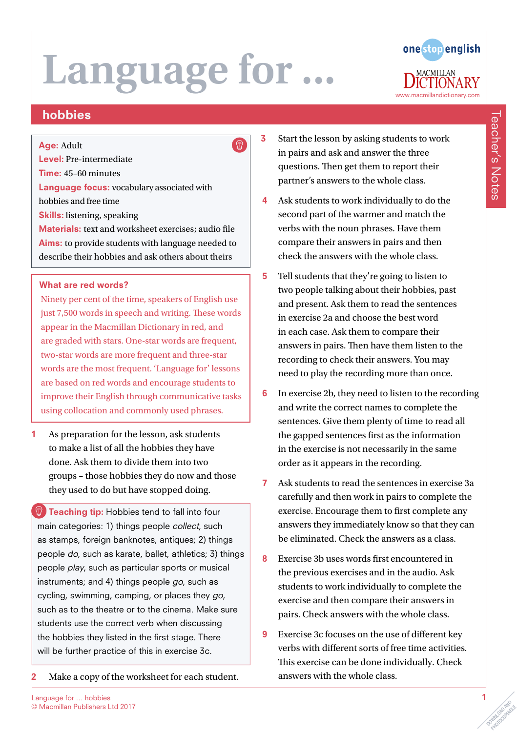

## hobbies

#### Age: Adult

Level: Pre-intermediate

Time: 45–60 minutes

Language focus: vocabulary associated with hobbies and free time

Skills: listening, speaking

Materials: text and worksheet exercises; audio file Aims: to provide students with language needed to describe their hobbies and ask others about theirs

### What are red words?

Ninety per cent of the time, speakers of English use just 7,500 words in speech and writing. These words appear in the Macmillan Dictionary in red, and are graded with stars. One-star words are frequent, two-star words are more frequent and three-star words are the most frequent. 'Language for' lessons are based on red words and encourage students to improve their English through communicative tasks using collocation and commonly used phrases.

1 As preparation for the lesson, ask students to make a list of all the hobbies they have done. Ask them to divide them into two groups – those hobbies they do now and those they used to do but have stopped doing.

**Teaching tip:** Hobbies tend to fall into four main categories: 1) things people collect, such as stamps, foreign banknotes, antiques; 2) things people do, such as karate, ballet, athletics; 3) things people play, such as particular sports or musical instruments; and 4) things people go, such as cycling, swimming, camping, or places they go, such as to the theatre or to the cinema. Make sure students use the correct verb when discussing the hobbies they listed in the first stage. There will be further practice of this in exercise 3c.

2 Make a copy of the worksheet for each student.

- 3 Start the lesson by asking students to work in pairs and ask and answer the three questions. Then get them to report their partner's answers to the whole class.
- 4 Ask students to work individually to do the second part of the warmer and match the verbs with the noun phrases. Have them compare their answers in pairs and then check the answers with the whole class.
- 5 Tell students that they're going to listen to two people talking about their hobbies, past and present. Ask them to read the sentences in exercise 2a and choose the best word in each case. Ask them to compare their answers in pairs. Then have them listen to the recording to check their answers. You may need to play the recording more than once.
- 6 In exercise 2b, they need to listen to the recording and write the correct names to complete the sentences. Give them plenty of time to read all the gapped sentences first as the information in the exercise is not necessarily in the same order as it appears in the recording.
- 7 Ask students to read the sentences in exercise 3a carefully and then work in pairs to complete the exercise. Encourage them to first complete any answers they immediately know so that they can be eliminated. Check the answers as a class.
- 8 Exercise 3b uses words first encountered in the previous exercises and in the audio. Ask students to work individually to complete the exercise and then compare their answers in pairs. Check answers with the whole class.
- 9 Exercise 3c focuses on the use of different key verbs with different sorts of free time activities. This exercise can be done individually. Check answers with the whole class.

PHOTOCOPIABLE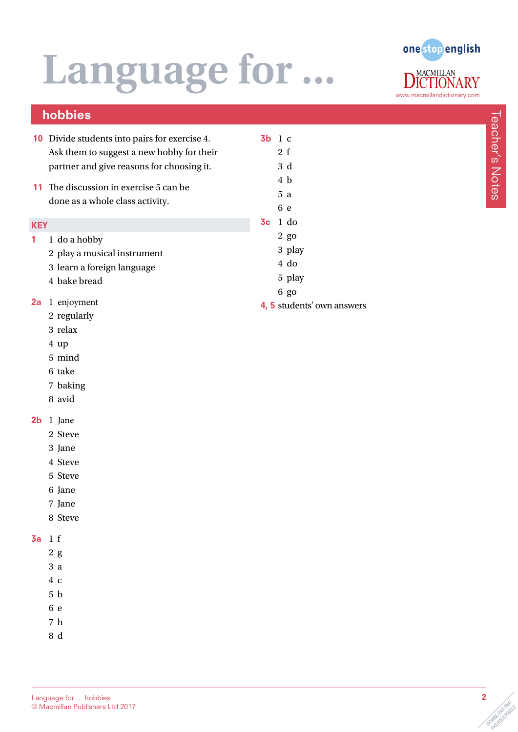

## hobbies

- 10 Divide students into pairs for exercise 4. Ask them to suggest a new hobby for their partner and give reasons for choosing it.
- 11 The discussion in exercise 5 can be done as a whole class activity.

#### **KEY**

- 1 1 do a hobby
	- 2 play a musical instrument
	- 3 learn a foreign language
	- 4 bake bread
- 2a 1 enjoyment
	- 2 regularly
	- 3 relax
	- 4 up
	- 5 mind
	- 6 take
	- 7 baking
	- 8 avid
- 2b 1 Jane
	- 2 Steve
	- 3 Jane
	- 4 Steve
	- 5 Steve
	- 6 Jane
	- 7 Jane
	- 8 Steve

### 3a 1 f

- 2 g
- 3 a
- 4 c
- 5 b
- 6 e
- 7 h
- 8 d

5 a 6 e 3c 1 do 2 go 3 play 4 do 5 play 6 go

3b 1 c 2 f 3 d 4 b

4, 5 students' own answers

PHOTOCOPIABLE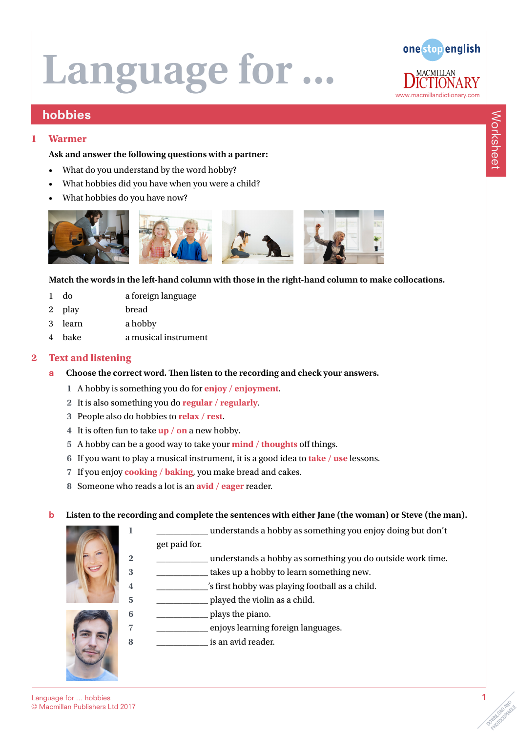

### hobbies

#### **1 Warmer**

#### **Ask and answer the following questions with a partner:**

- What do you understand by the word hobby?
- What hobbies did you have when you were a child?
- What hobbies do you have now?



#### **Match the words in the left-hand column with those in the right-hand column to make collocations.**

- 1 do a foreign language
- 2 play bread
- 3 learn a hobby
- 4 bake a musical instrument

#### **2 Text and listening**

- a **Choose the correct word. Then listen to the recording and check your answers.** 
	- **1** A hobby is something you do for **enjoy / enjoyment**.
	- **2** It is also something you do **regular / regularly**.
	- **3** People also do hobbies to **relax / rest**.
	- **4** It is often fun to take **up / on** a new hobby.
	- **5** A hobby can be a good way to take your **mind / thoughts** off things.
	- **6** If you want to play a musical instrument, it is a good idea to **take / use** lessons.
	- **7** If you enjoy **cooking / baking**, you make bread and cakes.
	- **8** Someone who reads a lot is an **avid / eager** reader.

#### b **Listen to the recording and complete the sentences with either Jane (the woman) or Steve (the man).**



- **1** \_\_\_\_\_\_\_\_\_\_\_\_ understands a hobby as something you enjoy doing but don't get paid for.
- **2** \_\_\_\_\_\_\_\_\_\_\_\_ understands a hobby as something you do outside work time.
- **3** \_\_\_\_\_\_\_\_\_\_\_\_ takes up a hobby to learn something new.
- **4** \_\_\_\_\_\_\_\_\_\_\_\_'s first hobby was playing football as a child.
- **5** \_\_\_\_\_\_\_\_\_\_\_\_ played the violin as a child.
- **6** \_\_\_\_\_\_\_\_\_\_\_\_ plays the piano.
- **7** \_\_\_\_\_\_\_\_\_\_\_\_ enjoys learning foreign languages.
- **8** \_\_\_\_\_\_\_\_\_\_\_\_ is an avid reader.



**PROTHROPHERE** 

Worksheet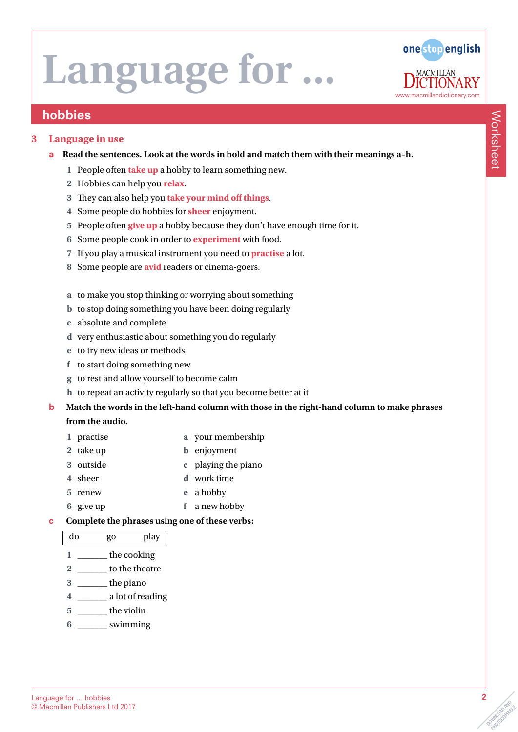

### hobbies

#### **3 Language in use**

#### a **Read the sentences. Look at the words in bold and match them with their meanings a–h.**

- **1** People often **take up** a hobby to learn something new.
- **2** Hobbies can help you **relax**.
- **3** They can also help you **take your mind off things**.
- **4** Some people do hobbies for **sheer** enjoyment.
- **5** People often **give up** a hobby because they don't have enough time for it.
- **6** Some people cook in order to **experiment** with food.
- **7** If you play a musical instrument you need to **practise** a lot.
- **8** Some people are **avid** readers or cinema-goers.
- **a** to make you stop thinking or worrying about something
- **b** to stop doing something you have been doing regularly
- **c** absolute and complete
- **d** very enthusiastic about something you do regularly
- **e** to try new ideas or methods
- **f** to start doing something new
- **g** to rest and allow yourself to become calm
- **h** to repeat an activity regularly so that you become better at it
- b **Match the words in the left-hand column with those in the right-hand column to make phrases from the audio.** 
	- **1** practise **a** your membership
	- **2** take up **b** enjoyment
	- **3** outside **c** playing the piano
	- **4** sheer **d** work time
	- **5** renew **e** a hobby
	- **6** give up **f** a new hobby

#### c **Complete the phrases using one of these verbs:**

| do | go          | play |  |
|----|-------------|------|--|
|    | the cooking |      |  |

- **2** \_\_\_\_\_\_\_ to the theatre
- **3** \_\_\_\_\_\_\_ the piano
- **4** \_\_\_\_\_\_\_ a lot of reading
- **5** \_\_\_\_\_\_\_ the violin
- **6** \_\_\_\_\_\_\_ swimming

OOMNLOAD AND

**PROTHROPHERE** 

Worksheet